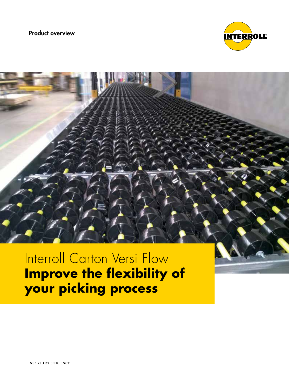Product overview



# Interroll Carton Versi Flow **Improve the flexibility of your picking process**

**INSPIRED BY EFFICIENCY**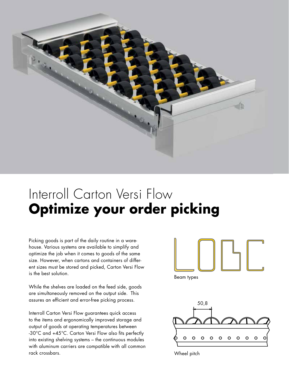

# Interroll Carton Versi Flow **Optimize your order picking**

Picking goods is part of the daily routine in a warehouse. Various systems are available to simplify and optimize the job when it comes to goods of the same size. However, when cartons and containers of different sizes must be stored and picked, Carton Versi Flow is the best solution.

While the shelves are loaded on the feed side, goods are simultaneously removed on the output side. This assures an efficient and error-free picking process.

Interroll Carton Versi Flow guarantees quick access to the items and ergonomically improved storage and output of goods at operating temperatures between -30°C and +45°C. Carton Versi Flow also fits perfectly into existing shelving systems – the continuous modules with aluminum carriers are compatible with all common rack crossbars.



Beam types



Wheel pitch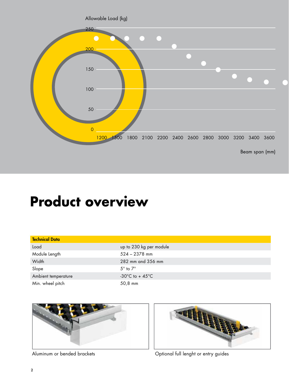

# **Product overview**

| <b>Technical Data</b> |                                       |
|-----------------------|---------------------------------------|
| Load                  | up to 230 kg per module               |
| Module Length         | $524 - 2378$ mm                       |
| Width                 | 282 mm and 356 mm                     |
| Slope                 | $5^\circ$ to $7^\circ$                |
| Ambient temperature   | -30 $^{\circ}$ C to + 45 $^{\circ}$ C |
| Min. wheel pitch      | 50,8 mm                               |





Aluminum or bended brackets **Optional full lenght or entry guides**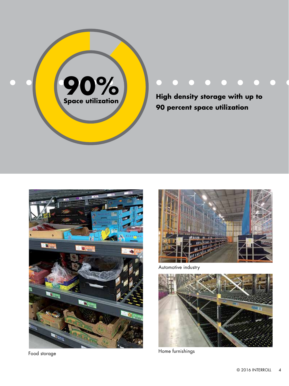

**High density storage with up to 90 percent space utilization**





Automotive industry

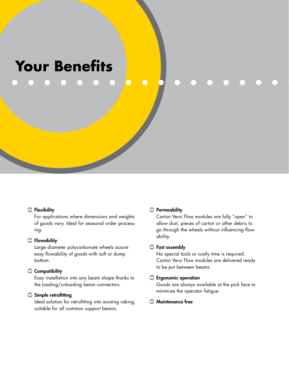# **Your Benefits**

### **C** Flexibility

For applications where dimensions and weights of goods vary. Ideal for seasonal order processing.

### **C** Flowability

Large diameter polycarbonate wheels assure easy flowability of goods with soft or dump bottom.

## Compatibility

Easy installation into any beam shape thanks to the loading/unloading beam connectors.

### $\bullet$  Simple retrofitting

Ideal solution for retrofitting into existing raking, suitable for all common support beams.

#### **Permeability**

Carton Versi Flow modules are fully "open" to allow dust, pieces of carton or other debris to go through the wheels without influencing flowability.

### $\bullet$  Fast assembly

No special tools or costly time is required. Carton Versi Flow modules are delivered ready to be put between beams.

#### **Expression** coperation

Goods are always available at the pick face to minimize the operator fatigue.

## **C** Maintenance free